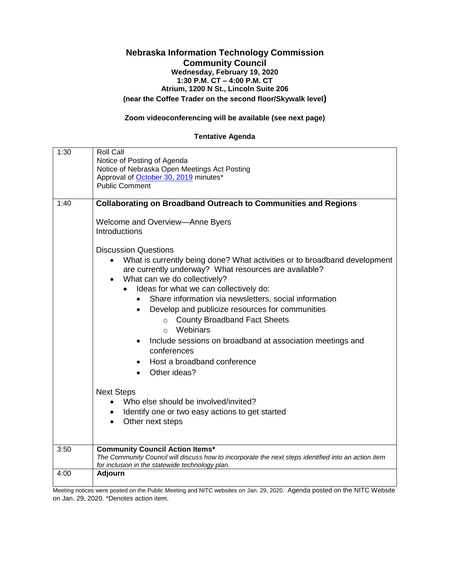## **Nebraska Information Technology Commission Community Council Wednesday, February 19, 2020 1:30 P.M. CT – 4:00 P.M. CT Atrium, 1200 N St., Lincoln Suite 206 (near the Coffee Trader on the second floor/Skywalk level)**

## **Zoom videoconferencing will be available (see next page)**

## **Tentative Agenda**

| 1:30 | <b>Roll Call</b><br>Notice of Posting of Agenda                                                                                                                                                  |
|------|--------------------------------------------------------------------------------------------------------------------------------------------------------------------------------------------------|
|      | Notice of Nebraska Open Meetings Act Posting<br>Approval of October 30, 2019 minutes*                                                                                                            |
|      | <b>Public Comment</b>                                                                                                                                                                            |
| 1:40 | <b>Collaborating on Broadband Outreach to Communities and Regions</b>                                                                                                                            |
|      |                                                                                                                                                                                                  |
|      | Welcome and Overview-Anne Byers<br>Introductions                                                                                                                                                 |
|      | <b>Discussion Questions</b>                                                                                                                                                                      |
|      | What is currently being done? What activities or to broadband development<br>are currently underway? What resources are available?<br>What can we do collectively?<br>$\bullet$                  |
|      | Ideas for what we can collectively do:                                                                                                                                                           |
|      | Share information via newsletters, social information                                                                                                                                            |
|      | Develop and publicize resources for communities<br>$\bullet$                                                                                                                                     |
|      | <b>County Broadband Fact Sheets</b><br>$\circ$<br>Webinars<br>$\circ$                                                                                                                            |
|      | Include sessions on broadband at association meetings and<br>$\bullet$<br>conferences                                                                                                            |
|      | Host a broadband conference                                                                                                                                                                      |
|      | Other ideas?                                                                                                                                                                                     |
|      | <b>Next Steps</b>                                                                                                                                                                                |
|      | Who else should be involved/invited?                                                                                                                                                             |
|      | Identify one or two easy actions to get started<br>$\bullet$                                                                                                                                     |
|      | Other next steps<br>$\bullet$                                                                                                                                                                    |
|      |                                                                                                                                                                                                  |
| 3:50 | <b>Community Council Action Items*</b><br>The Community Council will discuss how to incorporate the next steps identified into an action item<br>for inclusion in the statewide technology plan. |
| 4:00 | <b>Adjourn</b>                                                                                                                                                                                   |

Meeting notices were posted on the Public Meeting and NITC websites on Jan. 29, 2020. Agenda posted on the NITC Website on Jan. 29, 2020. \*Denotes action item.